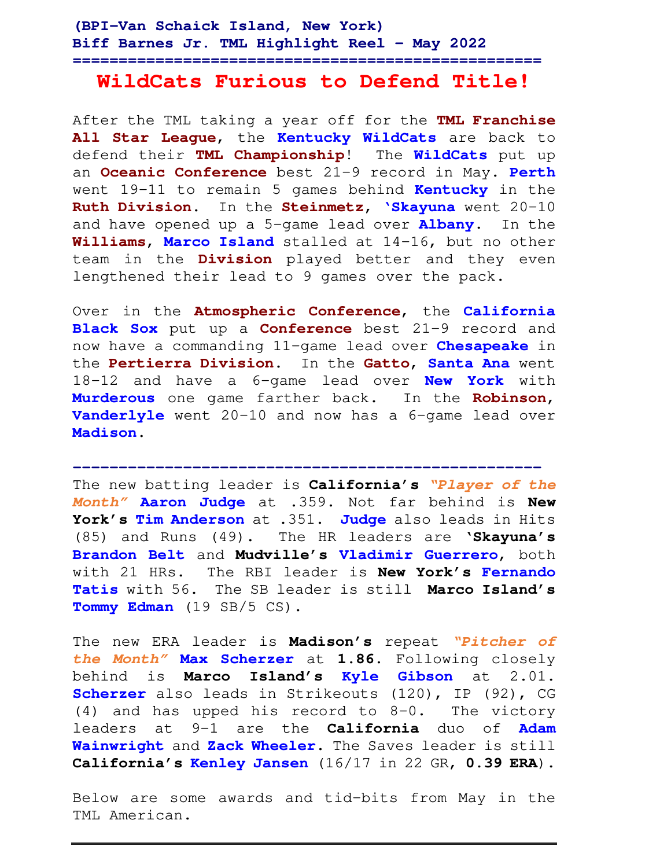# **WildCats Furious to Defend Title!**

After the TML taking a year off for the **TML Franchise All Star League**, the **Kentucky WildCats** are back to defend their **TML Championship**! The **WildCats** put up an **Oceanic Conference** best 21-9 record in May. **Perth** went 19-11 to remain 5 games behind **Kentucky** in the **Ruth Division**. In the **Steinmetz**, **'Skayuna** went 20-10 and have opened up a 5-game lead over **Albany**. In the **Williams**, **Marco Island** stalled at 14-16, but no other team in the **Division** played better and they even lengthened their lead to 9 games over the pack.

Over in the **Atmospheric Conference**, the **California Black Sox** put up a **Conference** best 21-9 record and now have a commanding 11-game lead over **Chesapeake** in the **Pertierra Division**. In the **Gatto**, **Santa Ana** went 18-12 and have a 6-game lead over **New York** with **Murderous** one game farther back. In the **Robinson**, **Vanderlyle** went 20-10 and now has a 6-game lead over **Madison**.

The new batting leader is **California's "Player of the Month" Aaron Judge** at .359. Not far behind is **New York's Tim Anderson** at .351. **Judge** also leads in Hits (85) and Runs (49). The HR leaders are **'Skayuna's Brandon Belt** and **Mudville's Vladimir Guerrero**, both with 21 HRs. The RBI leader is **New York's Fernando Tatis** with 56. The SB leader is still **Marco Island's Tommy Edman** (19 SB/5 CS).

**---------------------------------------------------**

The new ERA leader is **Madison's** repeat **"Pitcher of the Month" Max Scherzer** at **1.86.** Following closely behind is **Marco Island's Kyle Gibson** at 2.01. **Scherzer** also leads in Strikeouts (120), IP (92), CG (4) and has upped his record to 8-0. The victory leaders at 9-1 are the **California** duo of **Adam Wainwright** and **Zack Wheeler**. The Saves leader is still **California's Kenley Jansen** (16/17 in 22 GR, **0.39 ERA**).

Below are some awards and tid-bits from May in the TML American.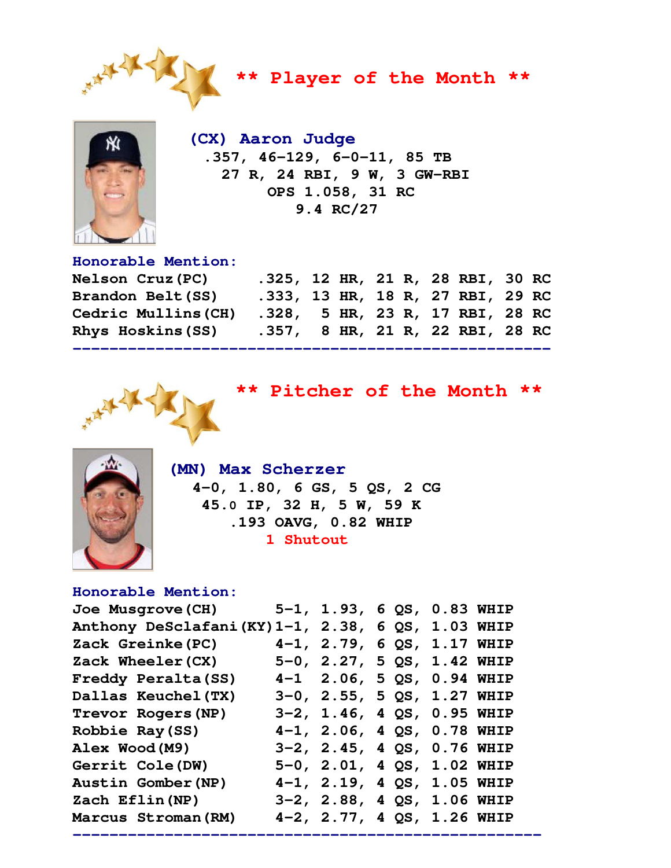

**\*\* Player of the Month \*\*** 



 **(CX) Aaron Judge .357, 46-129, 6-0-11, 85 TB 27 R, 24 RBI, 9 W, 3 GW-RBI OPS 1.058, 31 RC 9.4 RC/27** 

### **Honorable Mention:**

| <b>Nelson Cruz (PC)</b> | .325, 12 HR, 21 R, 28 RBI, 30 RC |  |  |  |  |
|-------------------------|----------------------------------|--|--|--|--|
| Brandon Belt (SS)       | .333, 13 HR, 18 R, 27 RBI, 29 RC |  |  |  |  |
| Cedric Mullins (CH)     | .328, 5 HR, 23 R, 17 RBI, 28 RC  |  |  |  |  |
| Rhys Hoskins (SS)       | .357, 8 HR, 21 R, 22 RBI, 28 RC  |  |  |  |  |
|                         |                                  |  |  |  |  |



**\*\* Pitcher of the Month \*\*** 



 **(MN) Max Scherzer 4-0, 1.80, 6 GS, 5 QS, 2 CG 45.0 IP, 32 H, 5 W, 59 K .193 OAVG, 0.82 WHIP 1 Shutout** 

## **Honorable Mention:**

| <b>Joe Musgrove (CH)</b>                           | 5-1, 1.93, 6 QS, 0.83 WHIP    |  |  |
|----------------------------------------------------|-------------------------------|--|--|
| Anthony DeSclafani (KY) 1-1, 2.38, 6 QS, 1.03 WHIP |                               |  |  |
| Zack Greinke (PC)                                  | $4-1$ , 2.79, 6 QS, 1.17 WHIP |  |  |
| Zack Wheeler (CX)                                  | 5-0, 2.27, 5 QS, 1.42 WHIP    |  |  |
| Freddy Peralta (SS)                                | 4-1 2.06, 5 QS, 0.94 WHIP     |  |  |
| Dallas Keuchel (TX)                                | 3-0, 2.55, 5 QS, 1.27 WHIP    |  |  |
| Trevor Rogers (NP)                                 | 3-2, 1.46, 4 QS, 0.95 WHIP    |  |  |
| Robbie Ray (SS)                                    | $4-1$ , 2.06, 4 QS, 0.78 WHIP |  |  |
| Alex Wood(M9)                                      | 3-2, 2.45, 4 QS, 0.76 WHIP    |  |  |
| <b>Gerrit Cole (DW)</b>                            | 5-0, 2.01, 4 QS, 1.02 WHIP    |  |  |
| Austin Gomber (NP)                                 | 4-1, 2.19, 4 QS, 1.05 WHIP    |  |  |
| Zach Eflin (NP)                                    | 3-2, 2.88, 4 QS, 1.06 WHIP    |  |  |
| Marcus Stroman (RM)                                | 4-2, 2.77, 4 QS, 1.26 WHIP    |  |  |

**---------------------------------------------------**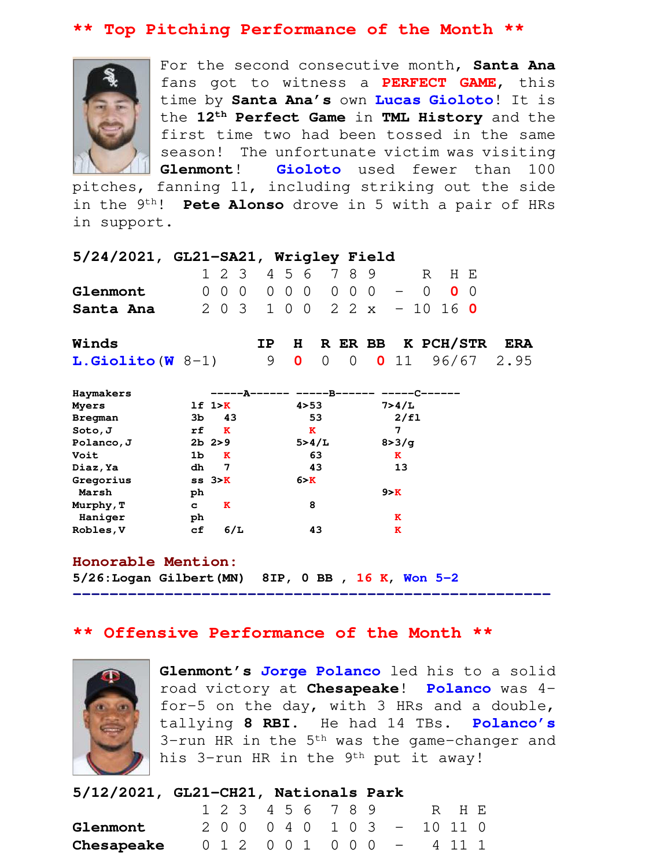## **\*\* Top Pitching Performance of the Month \*\***



For the second consecutive month, **Santa Ana**  fans got to witness a **PERFECT GAME**, this time by **Santa Ana's** own **Lucas Gioloto**! It is the **12th Perfect Game** in **TML History** and the first time two had been tossed in the same season! The unfortunate victim was visiting **Glenmont**! **Gioloto** used fewer than 100

pitches, fanning 11, including striking out the side in the 9th! **Pete Alonso** drove in 5 with a pair of HRs in support.

| 5/24/2021, GL21-SA21, Wrigley Field |  |                             |  |  |  |  |       |  |
|-------------------------------------|--|-----------------------------|--|--|--|--|-------|--|
|                                     |  | 1 2 3 4 5 6 7 8 9           |  |  |  |  | R HF. |  |
| Glenmont                            |  | 000 000 000 - 0 00          |  |  |  |  |       |  |
| Santa Ana                           |  | 2 0 3 1 0 0 2 2 x - 10 16 0 |  |  |  |  |       |  |

| Winds              |  |  | IP H R ER BB K PCH/STR ERA |  |
|--------------------|--|--|----------------------------|--|
| $L.Giolito(W_8-1)$ |  |  | 9 0 0 0 0 11 96/67 2.95    |  |

| Haymakers  |    |                    | --A------ -----B------ --- |         |
|------------|----|--------------------|----------------------------|---------|
| Myers      |    | 1f 1 > K           | 4 > 53                     | 7>4/L   |
| Bregman    | 3b | 43                 | 53                         | 2/f1    |
| Soto, J    | rf | K                  | ĸ                          | 7       |
| Polanco, J |    | $2b$ $2>9$         | 5 > 4/L                    | 8 > 3/q |
| Voit       | 1b | ĸ                  | 63                         | ĸ       |
| Diaz, Ya   | dh | 7                  | 43                         | 13      |
| Gregorius  |    | $ss3$ <sub>X</sub> | 6 > K                      |         |
| Marsh      | ph |                    |                            | 9 > K   |
| Murphy, T  | c  | K                  | 8                          |         |
| Haniger    | ph |                    |                            | ĸ       |
| Robles, V  | сf | 6/L                | 43                         | ĸ       |

#### **Honorable Mention:**

**5/26:Logan Gilbert(MN) 8IP, 0 BB , 16 K, Won 5-2**

## **\*\* Offensive Performance of the Month \*\***

**----------------------------------------------------** 



**Glenmont's Jorge Polanco** led his to a solid road victory at **Chesapeake**! **Polanco** was 4 for-5 on the day, with 3 HRs and a double, tallying **8 RBI**. He had 14 TBs. **Polanco's** 3-run HR in the 5<sup>th</sup> was the game-changer and his 3-run HR in the 9<sup>th</sup> put it away!

| 5/12/2021, GL21-CH21, Nationals Park |  |
|--------------------------------------|--|
|                                      |  |

|            |  |  |  | 1 2 3 4 5 6 7 8 9 |  |                             | R HH. |  |
|------------|--|--|--|-------------------|--|-----------------------------|-------|--|
| Glenmont   |  |  |  |                   |  | 2 0 0 0 4 0 1 0 3 - 10 11 0 |       |  |
| Chesapeake |  |  |  |                   |  | 0 1 2 0 0 1 0 0 0 - 4 11 1  |       |  |